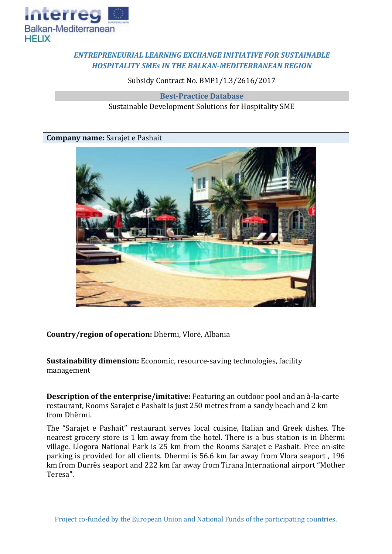

## *ENTREPRENEURIAL LEARNING EXCHANGE INITIATIVE FOR SUSTAINABLE HOSPITALITY SMEs IN THE BALKAN-MEDITERRANEAN REGION*

Subsidy Contract No. BMP1/1.3/2616/2017

**Best-Practice Database** Sustainable Development Solutions for Hospitality SME

**Company name:** Sarajet e Pashait



**Country/region of operation:** Dhërmi, Vlorë, Albania

**Sustainability dimension:** Economic, resource-saving technologies, facility management

**Description of the enterprise/imitative:** Featuring an outdoor pool and an à-la-carte restaurant, Rooms Sarajet e Pashait is just 250 metres from a sandy beach and 2 km from Dhërmi.

The "Sarajet e Pashait" restaurant serves local cuisine, Italian and Greek dishes. The nearest grocery store is 1 km away from the hotel. There is a bus station is in Dhërmi village. Llogora National Park is 25 km from the Rooms Sarajet e Pashait. Free on-site parking is provided for all clients. Dhermi is 56.6 km far away from Vlora seaport , 196 km from Durrës seaport and 222 km far away from Tirana International airport "Mother Teresa".